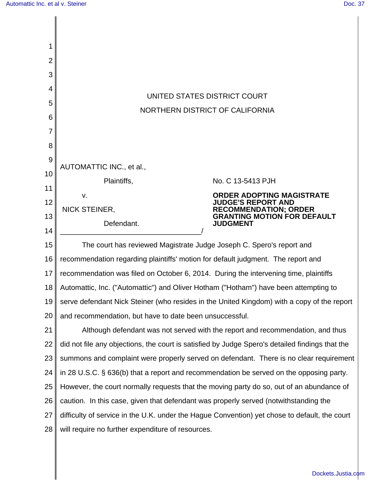| $\overline{2}$ |                                                                                                 |                                                                                       |  |
|----------------|-------------------------------------------------------------------------------------------------|---------------------------------------------------------------------------------------|--|
| 3              |                                                                                                 |                                                                                       |  |
| 4              |                                                                                                 |                                                                                       |  |
| 5              | UNITED STATES DISTRICT COURT                                                                    |                                                                                       |  |
| 6              | NORTHERN DISTRICT OF CALIFORNIA                                                                 |                                                                                       |  |
| 7              |                                                                                                 |                                                                                       |  |
| 8              |                                                                                                 |                                                                                       |  |
| 9              |                                                                                                 |                                                                                       |  |
| 10             | AUTOMATTIC INC., et al.,                                                                        |                                                                                       |  |
| 11             | Plaintiffs,                                                                                     | No. C 13-5413 PJH<br><b>ORDER ADOPTING MAGISTRATE</b>                                 |  |
| 12             | V.<br>NICK STEINER,                                                                             | <b>JUDGE'S REPORT AND</b>                                                             |  |
| 13             | Defendant.                                                                                      | <b>RECOMMENDATION; ORDER</b><br><b>GRANTING MOTION FOR DEFAULT</b><br><b>JUDGMENT</b> |  |
| 14             |                                                                                                 |                                                                                       |  |
| 15             | The court has reviewed Magistrate Judge Joseph C. Spero's report and                            |                                                                                       |  |
| 16             | recommendation regarding plaintiffs' motion for default judgment. The report and                |                                                                                       |  |
| 17             | recommendation was filed on October 6, 2014. During the intervening time, plaintiffs            |                                                                                       |  |
| 18             | Automattic, Inc. ("Automattic") and Oliver Hotham ("Hotham") have been attempting to            |                                                                                       |  |
| 19             | serve defendant Nick Steiner (who resides in the United Kingdom) with a copy of the report      |                                                                                       |  |
| 20             | and recommendation, but have to date been unsuccessful.                                         |                                                                                       |  |
| 21             | Although defendant was not served with the report and recommendation, and thus                  |                                                                                       |  |
| 22             | did not file any objections, the court is satisfied by Judge Spero's detailed findings that the |                                                                                       |  |
| 23             | summons and complaint were properly served on defendant. There is no clear requirement          |                                                                                       |  |
| 24             | in 28 U.S.C. § 636(b) that a report and recommendation be served on the opposing party.         |                                                                                       |  |
| 25             | However, the court normally requests that the moving party do so, out of an abundance of        |                                                                                       |  |
| 26             | caution. In this case, given that defendant was properly served (notwithstanding the            |                                                                                       |  |
| 27             | difficulty of service in the U.K. under the Hague Convention) yet chose to default, the court   |                                                                                       |  |
| 28             | will require no further expenditure of resources.                                               |                                                                                       |  |
|                |                                                                                                 |                                                                                       |  |